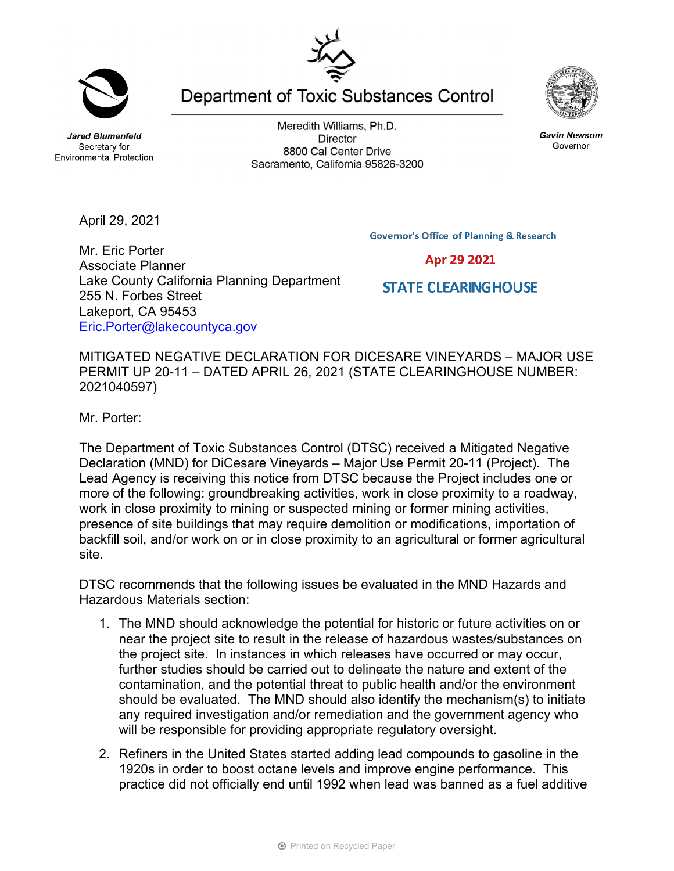**Jared Blumenfeld** Secretary for **Environmental Protection** 

April 29, 2021

Meredith Williams, Ph.D. **Director** 8800 Cal Center Drive Sacramento, California 95826-3200

Department of Toxic Substances Control

**Governor's Office of Planning & Research** 

**STATE CLEARING HOUSE** 

Mr. Eric Porter Associate Planner Lake County California Planning Department 255 N. Forbes Street Lakeport, CA 95453 Eric.Porter@lakecountyca.gov

MITIGATED NEGATIVE DECLARATION FOR DICESARE VINEYARDS – MAJOR USE PERMIT UP 20-11 – DATED APRIL 26, 2021 (STATE CLEARINGHOUSE NUMBER: 2021040597)

Mr. Porter:

The Department of Toxic Substances Control (DTSC) received a Mitigated Negative Declaration (MND) for DiCesare Vineyards – Major Use Permit 20-11 (Project). The Lead Agency is receiving this notice from DTSC because the Project includes one or more of the following: groundbreaking activities, work in close proximity to a roadway, work in close proximity to mining or suspected mining or former mining activities, presence of site buildings that may require demolition or modifications, importation of backfill soil, and/or work on or in close proximity to an agricultural or former agricultural site.

DTSC recommends that the following issues be evaluated in the MND Hazards and Hazardous Materials section:

- 1. The MND should acknowledge the potential for historic or future activities on or near the project site to result in the release of hazardous wastes/substances on the project site. In instances in which releases have occurred or may occur, further studies should be carried out to delineate the nature and extent of the contamination, and the potential threat to public health and/or the environment should be evaluated. The MND should also identify the mechanism(s) to initiate any required investigation and/or remediation and the government agency who will be responsible for providing appropriate regulatory oversight.
- 2. Refiners in the United States started adding lead compounds to gasoline in the 1920s in order to boost octane levels and improve engine performance. This practice did not officially end until 1992 when lead was banned as a fuel additive

**Gavin Newsom** Governor





Apr 29 2021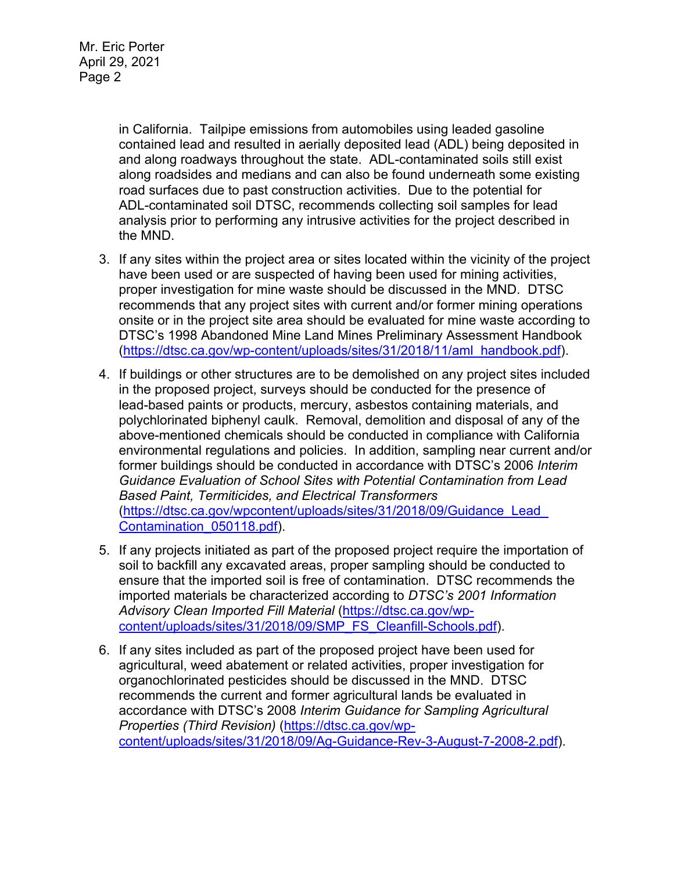in California. Tailpipe emissions from automobiles using leaded gasoline contained lead and resulted in aerially deposited lead (ADL) being deposited in and along roadways throughout the state. ADL-contaminated soils still exist along roadsides and medians and can also be found underneath some existing road surfaces due to past construction activities. Due to the potential for ADL-contaminated soil DTSC, recommends collecting soil samples for lead analysis prior to performing any intrusive activities for the project described in the MND.

- 3. If any sites within the project area or sites located within the vicinity of the project have been used or are suspected of having been used for mining activities, proper investigation for mine waste should be discussed in the MND. DTSC recommends that any project sites with current and/or former mining operations onsite or in the project site area should be evaluated for mine waste according to DTSC's 1998 Abandoned Mine Land Mines Preliminary Assessment Handbook (https://dtsc.ca.gov/wp-content/uploads/sites/31/2018/11/aml\_handbook.pdf).
- 4. If buildings or other structures are to be demolished on any project sites included in the proposed project, surveys should be conducted for the presence of lead-based paints or products, mercury, asbestos containing materials, and polychlorinated biphenyl caulk. Removal, demolition and disposal of any of the above-mentioned chemicals should be conducted in compliance with California environmental regulations and policies. In addition, sampling near current and/or former buildings should be conducted in accordance with DTSC's 2006 *Interim Guidance Evaluation of School Sites with Potential Contamination from Lead Based Paint, Termiticides, and Electrical Transformers*  (https://dtsc.ca.gov/wpcontent/uploads/sites/31/2018/09/Guidance\_Lead\_ Contamination\_050118.pdf).
- 5. If any projects initiated as part of the proposed project require the importation of soil to backfill any excavated areas, proper sampling should be conducted to ensure that the imported soil is free of contamination. DTSC recommends the imported materials be characterized according to *DTSC's 2001 Information Advisory Clean Imported Fill Material* (https://dtsc.ca.gov/wpcontent/uploads/sites/31/2018/09/SMP\_FS\_Cleanfill-Schools.pdf).
- 6. If any sites included as part of the proposed project have been used for agricultural, weed abatement or related activities, proper investigation for organochlorinated pesticides should be discussed in the MND. DTSC recommends the current and former agricultural lands be evaluated in accordance with DTSC's 2008 *Interim Guidance for Sampling Agricultural Properties (Third Revision)* (https://dtsc.ca.gov/wpcontent/uploads/sites/31/2018/09/Ag-Guidance-Rev-3-August-7-2008-2.pdf).